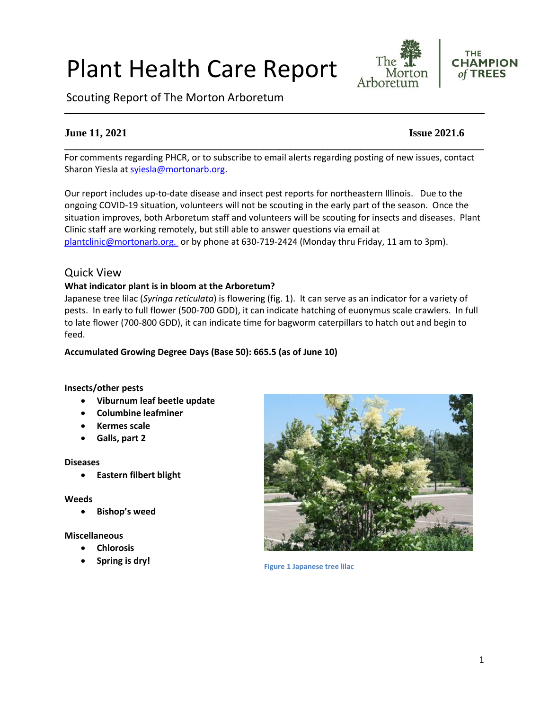# Plant Health Care Report

Scouting Report of The Morton Arboretum

## **Issue 2021.6** Issue 2021.6

For comments regarding PHCR, or to subscribe to email alerts regarding posting of new issues, contact Sharon Yiesla at [syiesla@mortonarb.org.](mailto:syiesla@mortonarb.org)

Our report includes up-to-date disease and insect pest reports for northeastern Illinois. Due to the ongoing COVID-19 situation, volunteers will not be scouting in the early part of the season. Once the situation improves, both Arboretum staff and volunteers will be scouting for insects and diseases. Plant Clinic staff are working remotely, but still able to answer questions via email at [plantclinic@mortonarb.org.](mailto:plantclinic@mortonarb.org) or by phone at 630-719-2424 (Monday thru Friday, 11 am to 3pm).

## Quick View

#### **What indicator plant is in bloom at the Arboretum?**

Japanese tree lilac (*Syringa reticulata*) is flowering (fig. 1). It can serve as an indicator for a variety of pests. In early to full flower (500-700 GDD), it can indicate hatching of euonymus scale crawlers. In full to late flower (700-800 GDD), it can indicate time for bagworm caterpillars to hatch out and begin to feed.

**Accumulated Growing Degree Days (Base 50): 665.5 (as of June 10)**

#### **Insects/other pests**

- **Viburnum leaf beetle update**
- **Columbine leafminer**
- **Kermes scale**
- **Galls, part 2**

#### **Diseases**

• **Eastern filbert blight**

#### **Weeds**

• **Bishop's weed**

#### **Miscellaneous**

- **Chlorosis**
- **Spring is dry!**



**Figure 1 Japanese tree lilac**





## **\_\_\_\_\_\_\_\_\_\_\_\_\_\_\_\_\_\_\_\_\_\_\_\_\_\_\_\_\_\_\_\_\_\_\_\_\_\_\_\_\_\_\_\_\_\_\_\_\_\_\_\_\_\_\_\_\_\_\_\_\_\_\_\_\_\_\_\_\_\_\_\_\_\_\_\_\_\_**

The

Morton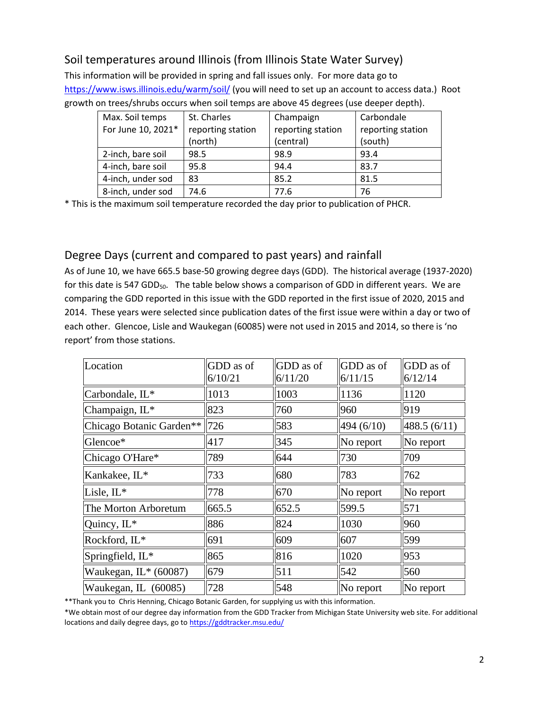# Soil temperatures around Illinois (from Illinois State Water Survey)

This information will be provided in spring and fall issues only. For more data go to <https://www.isws.illinois.edu/warm/soil/> (you will need to set up an account to access data.) Root growth on trees/shrubs occurs when soil temps are above 45 degrees (use deeper depth).

| Max. Soil temps    | St. Charles       | Champaign         | Carbondale        |
|--------------------|-------------------|-------------------|-------------------|
| For June 10, 2021* | reporting station | reporting station | reporting station |
|                    | (north)           | (central)         | (south)           |
| 2-inch, bare soil  | 98.5              | 98.9              | 93.4              |
| 4-inch, bare soil  | 95.8              | 94.4              | 83.7              |
| 4-inch, under sod  | 83                | 85.2              | 81.5              |
| 8-inch, under sod  | 74.6              | 77.6              | 76                |

\* This is the maximum soil temperature recorded the day prior to publication of PHCR.

# Degree Days (current and compared to past years) and rainfall

As of June 10, we have 665.5 base-50 growing degree days (GDD). The historical average (1937-2020) for this date is 547 GDD<sub>50</sub>. The table below shows a comparison of GDD in different years. We are comparing the GDD reported in this issue with the GDD reported in the first issue of 2020, 2015 and 2014. These years were selected since publication dates of the first issue were within a day or two of each other. Glencoe, Lisle and Waukegan (60085) were not used in 2015 and 2014, so there is 'no report' from those stations.

| Location                       | GDD as of<br>6/10/21 | GDD as of<br>6/11/20 | GDD as of<br>6/11/15 | GDD as of<br>6/12/14 |
|--------------------------------|----------------------|----------------------|----------------------|----------------------|
|                                | 1013                 | 1003                 |                      |                      |
| Carbondale, IL*                |                      |                      | 1136                 | 1120                 |
| Champaign, IL*                 | 823                  | 760                  | 960                  | 919                  |
| Chicago Botanic Garden**   726 |                      | 583                  | 494 (6/10)           | 488.5(6/11)          |
| Glencoe*                       | 417                  | 345                  | No report            | No report            |
| Chicago O'Hare*                | 789                  | 644                  | 730                  | 709                  |
| Kankakee, IL*                  | 733                  | 680                  | 783                  | 762                  |
| Lisle, $IL^*$                  | 778                  | 670                  | No report            | No report            |
| The Morton Arboretum           | 665.5                | 652.5                | 599.5                | 571                  |
| Quincy, IL*                    | 886                  | 824                  | 1030                 | 960                  |
| Rockford, IL*                  | 691                  | 609                  | 607                  | 599                  |
| Springfield, IL*               | 865                  | 816                  | 1020                 | 953                  |
| Waukegan, $IL*$ (60087)        | 679                  | 511                  | 542                  | 560                  |
| Waukegan, IL (60085)           | 728                  | 548                  | No report            | No report            |

\*\*Thank you to Chris Henning, Chicago Botanic Garden, for supplying us with this information.

\*We obtain most of our degree day information from the GDD Tracker from Michigan State University web site. For additional locations and daily degree days, go to <https://gddtracker.msu.edu/>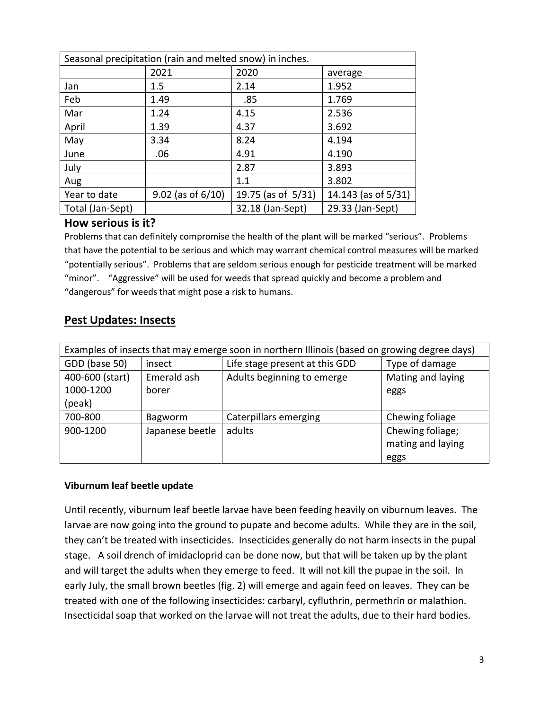| Seasonal precipitation (rain and melted snow) in inches. |                        |                    |                     |
|----------------------------------------------------------|------------------------|--------------------|---------------------|
|                                                          | 2021                   | 2020               | average             |
| Jan                                                      | 1.5                    | 2.14               | 1.952               |
| Feb                                                      | 1.49                   | .85                | 1.769               |
| Mar                                                      | 1.24                   | 4.15               | 2.536               |
| April                                                    | 1.39                   | 4.37               | 3.692               |
| May                                                      | 3.34                   | 8.24               | 4.194               |
| June                                                     | .06                    | 4.91               | 4.190               |
| July                                                     |                        | 2.87               | 3.893               |
| Aug                                                      |                        | 1.1                | 3.802               |
| Year to date                                             | $9.02$ (as of $6/10$ ) | 19.75 (as of 5/31) | 14.143 (as of 5/31) |
| Total (Jan-Sept)                                         |                        | 32.18 (Jan-Sept)   | 29.33 (Jan-Sept)    |

#### **How serious is it?**

Problems that can definitely compromise the health of the plant will be marked "serious".Problems that have the potential to be serious and which may warrant chemical control measures will be marked "potentially serious". Problems that are seldom serious enough for pesticide treatment will be marked "minor". "Aggressive" will be used for weeds that spread quickly and become a problem and "dangerous" for weeds that might pose a risk to humans.

## **Pest Updates: Insects**

| Examples of insects that may emerge soon in northern Illinois (based on growing degree days) |                 |                                |                   |
|----------------------------------------------------------------------------------------------|-----------------|--------------------------------|-------------------|
| GDD (base 50)                                                                                | insect          | Life stage present at this GDD | Type of damage    |
| 400-600 (start)                                                                              | Emerald ash     | Adults beginning to emerge     | Mating and laying |
| 1000-1200                                                                                    | borer           |                                | eggs              |
| (peak)                                                                                       |                 |                                |                   |
| 700-800                                                                                      | Bagworm         | Caterpillars emerging          | Chewing foliage   |
| 900-1200                                                                                     | Japanese beetle | adults                         | Chewing foliage;  |
|                                                                                              |                 |                                | mating and laying |
|                                                                                              |                 |                                | eggs              |

## **Viburnum leaf beetle update**

Until recently, viburnum leaf beetle larvae have been feeding heavily on viburnum leaves. The larvae are now going into the ground to pupate and become adults. While they are in the soil, they can't be treated with insecticides. Insecticides generally do not harm insects in the pupal stage. A soil drench of imidacloprid can be done now, but that will be taken up by the plant and will target the adults when they emerge to feed. It will not kill the pupae in the soil. In early July, the small brown beetles (fig. 2) will emerge and again feed on leaves. They can be treated with one of the following insecticides: carbaryl, cyfluthrin, permethrin or malathion. Insecticidal soap that worked on the larvae will not treat the adults, due to their hard bodies.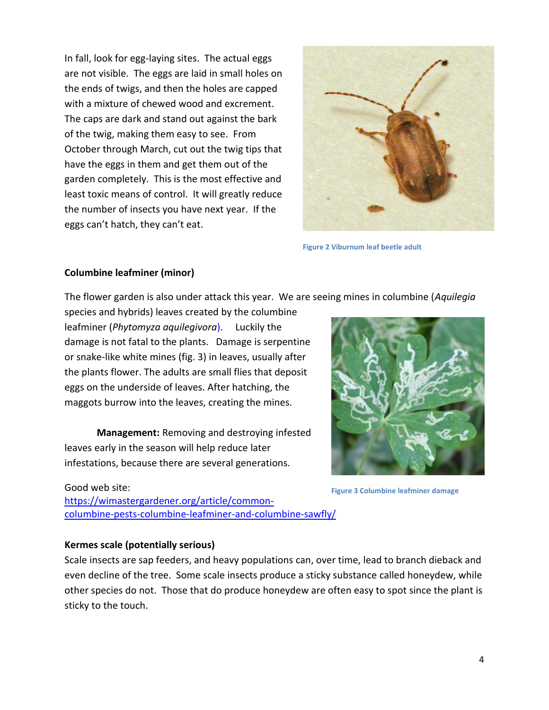In fall, look for egg-laying sites. The actual eggs are not visible. The eggs are laid in small holes on the ends of twigs, and then the holes are capped with a mixture of chewed wood and excrement. The caps are dark and stand out against the bark of the twig, making them easy to see. From October through March, cut out the twig tips that have the eggs in them and get them out of the garden completely. This is the most effective and least toxic means of control. It will greatly reduce the number of insects you have next year. If the eggs can't hatch, they can't eat.



**Figure 2 Viburnum leaf beetle adult**

#### **Columbine leafminer (minor)**

The flower garden is also under attack this year. We are seeing mines in columbine (*Aquilegia* 

species and hybrids) leaves created by the columbine leafminer (*Phytomyza aquilegivora*). Luckily the damage is not fatal to the plants. Damage is serpentine or snake-like white mines (fig. 3) in leaves, usually after the plants flower. The adults are small flies that deposit eggs on the underside of leaves. After hatching, the maggots burrow into the leaves, creating the mines.

**Management:** Removing and destroying infested leaves early in the season will help reduce later infestations, because there are several generations.

Good web site: [https://wimastergardener.org/article/common](https://wimastergardener.org/article/common-columbine-pests-columbine-leafminer-and-columbine-sawfly/)[columbine-pests-columbine-leafminer-and-columbine-sawfly/](https://wimastergardener.org/article/common-columbine-pests-columbine-leafminer-and-columbine-sawfly/)



**Figure 3 Columbine leafminer damage**

#### **Kermes scale (potentially serious)**

Scale insects are sap feeders, and heavy populations can, over time, lead to branch dieback and even decline of the tree. Some scale insects produce a sticky substance called honeydew, while other species do not. Those that do produce honeydew are often easy to spot since the plant is sticky to the touch.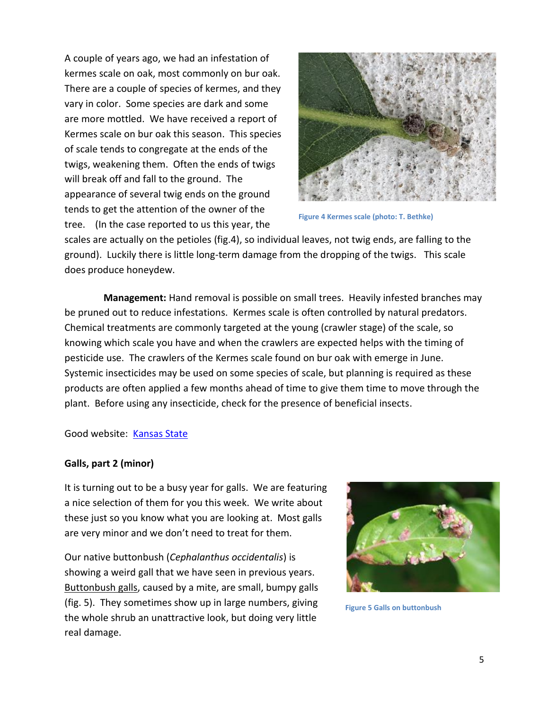A couple of years ago, we had an infestation of kermes scale on oak, most commonly on bur oak. There are a couple of species of kermes, and they vary in color. Some species are dark and some are more mottled. We have received a report of Kermes scale on bur oak this season. This species of scale tends to congregate at the ends of the twigs, weakening them. Often the ends of twigs will break off and fall to the ground. The appearance of several twig ends on the ground tends to get the attention of the owner of the tree. (In the case reported to us this year, the



**Figure 4 Kermes scale (photo: T. Bethke)**

scales are actually on the petioles (fig.4), so individual leaves, not twig ends, are falling to the ground). Luckily there is little long-term damage from the dropping of the twigs. This scale does produce honeydew.

 **Management:** Hand removal is possible on small trees. Heavily infested branches may be pruned out to reduce infestations. Kermes scale is often controlled by natural predators. Chemical treatments are commonly targeted at the young (crawler stage) of the scale, so knowing which scale you have and when the crawlers are expected helps with the timing of pesticide use. The crawlers of the Kermes scale found on bur oak with emerge in June. Systemic insecticides may be used on some species of scale, but planning is required as these products are often applied a few months ahead of time to give them time to move through the plant. Before using any insecticide, check for the presence of beneficial insects.

Good website: [Kansas State](https://www.google.com/url?sa=t&rct=j&q=&esrc=s&source=web&cd=&ved=2ahUKEwj1oP3bg4vxAhUNAZ0JHXYmCpAQFjABegQIAhAE&url=https%3A%2F%2Fhnr.k-state.edu%2Fextension%2Finfo-center%2Fcommon-pest-problems%2Fcommon-pest-problem-new%2FKermes%2520Oak%2520Scale.pdf&usg=AOvVaw3gyApxnNkiScE1e1ZSq_Vh)

## **Galls, part 2 (minor)**

It is turning out to be a busy year for galls. We are featuring a nice selection of them for you this week. We write about these just so you know what you are looking at. Most galls are very minor and we don't need to treat for them.

Our native buttonbush (*Cephalanthus occidentalis*) is showing a weird gall that we have seen in previous years. Buttonbush galls, caused by a mite, are small, bumpy galls (fig. 5). They sometimes show up in large numbers, giving the whole shrub an unattractive look, but doing very little real damage.



**Figure 5 Galls on buttonbush**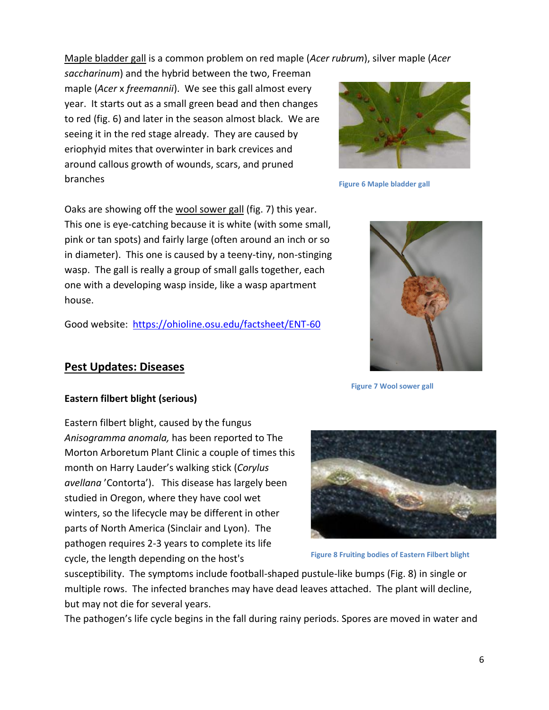Maple bladder gall is a common problem on red maple (*Acer rubrum*), silver maple (*Acer* 

*saccharinum*) and the hybrid between the two, Freeman maple (*Acer* x *freemannii*). We see this gall almost every year. It starts out as a small green bead and then changes to red (fig. 6) and later in the season almost black. We are seeing it in the red stage already. They are caused by eriophyid mites that overwinter in bark crevices and around callous growth of wounds, scars, and pruned branches



Good website: <https://ohioline.osu.edu/factsheet/ENT-60>



**Figure 6 Maple bladder gall**



**Figure 7 Wool sower gall**

## **Pest Updates: Diseases**

## **Eastern filbert blight (serious)**

Eastern filbert blight, caused by the fungus *Anisogramma anomala,* has been reported to The Morton Arboretum Plant Clinic a couple of times this month on Harry Lauder's walking stick (*Corylus avellana* 'Contorta'). This disease has largely been studied in Oregon, where they have cool wet winters, so the lifecycle may be different in other parts of North America (Sinclair and Lyon). The pathogen requires 2-3 years to complete its life cycle, the length depending on the host's



**Figure 8 Fruiting bodies of Eastern Filbert blight**

susceptibility. The symptoms include football-shaped pustule-like bumps (Fig. 8) in single or multiple rows. The infected branches may have dead leaves attached. The plant will decline, but may not die for several years.

The pathogen's life cycle begins in the fall during rainy periods. Spores are moved in water and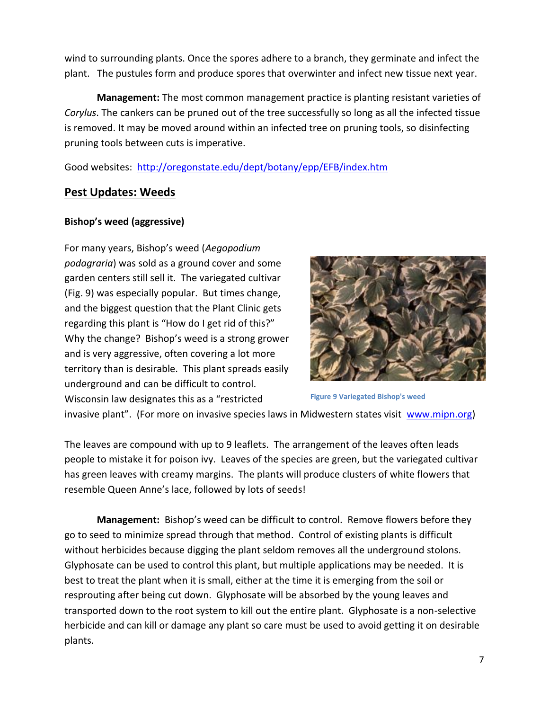wind to surrounding plants. Once the spores adhere to a branch, they germinate and infect the plant. The pustules form and produce spores that overwinter and infect new tissue next year.

**Management:** The most common management practice is planting resistant varieties of *Corylus*. The cankers can be pruned out of the tree successfully so long as all the infected tissue is removed. It may be moved around within an infected tree on pruning tools, so disinfecting pruning tools between cuts is imperative.

Good websites: <http://oregonstate.edu/dept/botany/epp/EFB/index.htm>

## **Pest Updates: Weeds**

## **Bishop's weed (aggressive)**

For many years, Bishop's weed (*Aegopodium podagraria*) was sold as a ground cover and some garden centers still sell it. The variegated cultivar (Fig. 9) was especially popular. But times change, and the biggest question that the Plant Clinic gets regarding this plant is "How do I get rid of this?" Why the change? Bishop's weed is a strong grower and is very aggressive, often covering a lot more territory than is desirable. This plant spreads easily underground and can be difficult to control. Wisconsin law designates this as a "restricted



**Figure 9 Variegated Bishop's weed**

invasive plant". (For more on invasive species laws in Midwestern states visit [www.mipn.org\)](http://www.mipn.org/)

The leaves are compound with up to 9 leaflets. The arrangement of the leaves often leads people to mistake it for poison ivy. Leaves of the species are green, but the variegated cultivar has green leaves with creamy margins. The plants will produce clusters of white flowers that resemble Queen Anne's lace, followed by lots of seeds!

**Management:** Bishop's weed can be difficult to control. Remove flowers before they go to seed to minimize spread through that method. Control of existing plants is difficult without herbicides because digging the plant seldom removes all the underground stolons. Glyphosate can be used to control this plant, but multiple applications may be needed. It is best to treat the plant when it is small, either at the time it is emerging from the soil or resprouting after being cut down. Glyphosate will be absorbed by the young leaves and transported down to the root system to kill out the entire plant. Glyphosate is a non-selective herbicide and can kill or damage any plant so care must be used to avoid getting it on desirable plants.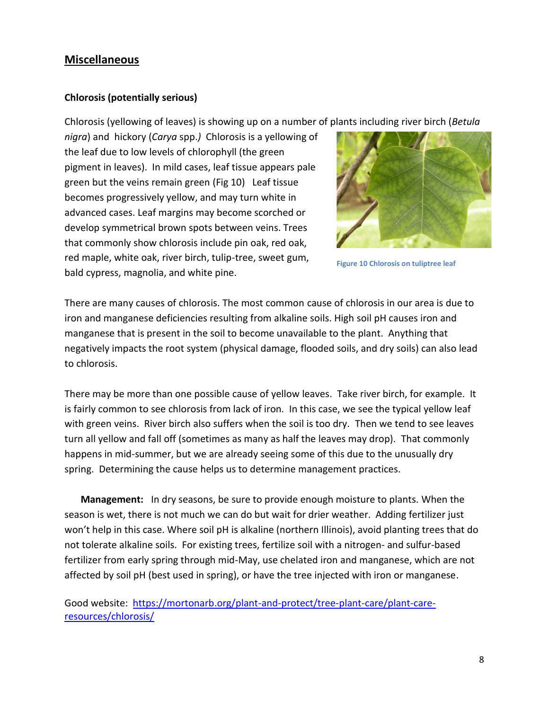## **Miscellaneous**

#### **Chlorosis (potentially serious)**

Chlorosis (yellowing of leaves) is showing up on a number of plants including river birch (*Betula* 

*nigra*) and hickory (*Carya* spp.*)* Chlorosis is a yellowing of the leaf due to low levels of chlorophyll (the green pigment in leaves). In mild cases, leaf tissue appears pale green but the veins remain green (Fig 10) Leaf tissue becomes progressively yellow, and may turn white in advanced cases. Leaf margins may become scorched or develop symmetrical brown spots between veins. Trees that commonly show chlorosis include pin oak, red oak, red maple, white oak, river birch, tulip-tree, sweet gum, bald cypress, magnolia, and white pine.



**Figure 10 Chlorosis on tuliptree leaf**

There are many causes of chlorosis. The most common cause of chlorosis in our area is due to iron and manganese deficiencies resulting from alkaline soils. High soil pH causes iron and manganese that is present in the soil to become unavailable to the plant. Anything that negatively impacts the root system (physical damage, flooded soils, and dry soils) can also lead to chlorosis.

There may be more than one possible cause of yellow leaves. Take river birch, for example. It is fairly common to see chlorosis from lack of iron. In this case, we see the typical yellow leaf with green veins. River birch also suffers when the soil is too dry. Then we tend to see leaves turn all yellow and fall off (sometimes as many as half the leaves may drop). That commonly happens in mid-summer, but we are already seeing some of this due to the unusually dry spring. Determining the cause helps us to determine management practices.

**Management:** In dry seasons, be sure to provide enough moisture to plants. When the season is wet, there is not much we can do but wait for drier weather. Adding fertilizer just won't help in this case. Where soil pH is alkaline (northern Illinois), avoid planting trees that do not tolerate alkaline soils. For existing trees, fertilize soil with a nitrogen- and sulfur-based fertilizer from early spring through mid-May, use chelated iron and manganese, which are not affected by soil pH (best used in spring), or have the tree injected with iron or manganese.

Good website: [https://mortonarb.org/plant-and-protect/tree-plant-care/plant-care](https://mortonarb.org/plant-and-protect/tree-plant-care/plant-care-resources/chlorosis/)[resources/chlorosis/](https://mortonarb.org/plant-and-protect/tree-plant-care/plant-care-resources/chlorosis/)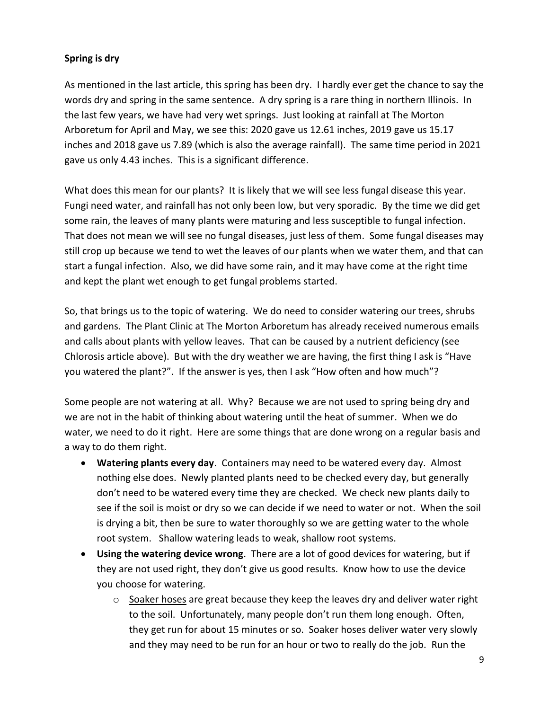## **Spring is dry**

As mentioned in the last article, this spring has been dry. I hardly ever get the chance to say the words dry and spring in the same sentence. A dry spring is a rare thing in northern Illinois. In the last few years, we have had very wet springs. Just looking at rainfall at The Morton Arboretum for April and May, we see this: 2020 gave us 12.61 inches, 2019 gave us 15.17 inches and 2018 gave us 7.89 (which is also the average rainfall). The same time period in 2021 gave us only 4.43 inches. This is a significant difference.

What does this mean for our plants? It is likely that we will see less fungal disease this year. Fungi need water, and rainfall has not only been low, but very sporadic. By the time we did get some rain, the leaves of many plants were maturing and less susceptible to fungal infection. That does not mean we will see no fungal diseases, just less of them. Some fungal diseases may still crop up because we tend to wet the leaves of our plants when we water them, and that can start a fungal infection. Also, we did have some rain, and it may have come at the right time and kept the plant wet enough to get fungal problems started.

So, that brings us to the topic of watering. We do need to consider watering our trees, shrubs and gardens. The Plant Clinic at The Morton Arboretum has already received numerous emails and calls about plants with yellow leaves. That can be caused by a nutrient deficiency (see Chlorosis article above). But with the dry weather we are having, the first thing I ask is "Have you watered the plant?". If the answer is yes, then I ask "How often and how much"?

Some people are not watering at all. Why? Because we are not used to spring being dry and we are not in the habit of thinking about watering until the heat of summer. When we do water, we need to do it right. Here are some things that are done wrong on a regular basis and a way to do them right.

- **Watering plants every day**. Containers may need to be watered every day. Almost nothing else does. Newly planted plants need to be checked every day, but generally don't need to be watered every time they are checked. We check new plants daily to see if the soil is moist or dry so we can decide if we need to water or not. When the soil is drying a bit, then be sure to water thoroughly so we are getting water to the whole root system. Shallow watering leads to weak, shallow root systems.
- **Using the watering device wrong**. There are a lot of good devices for watering, but if they are not used right, they don't give us good results. Know how to use the device you choose for watering.
	- $\circ$  Soaker hoses are great because they keep the leaves dry and deliver water right to the soil. Unfortunately, many people don't run them long enough. Often, they get run for about 15 minutes or so. Soaker hoses deliver water very slowly and they may need to be run for an hour or two to really do the job. Run the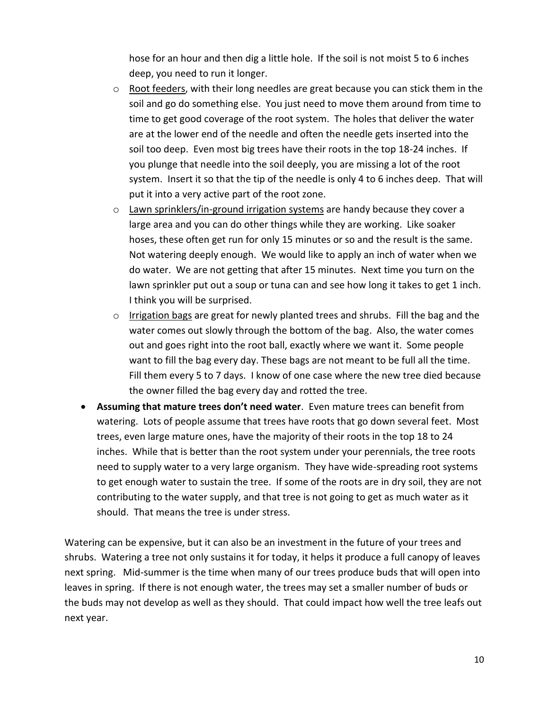hose for an hour and then dig a little hole. If the soil is not moist 5 to 6 inches deep, you need to run it longer.

- $\circ$  Root feeders, with their long needles are great because you can stick them in the soil and go do something else. You just need to move them around from time to time to get good coverage of the root system. The holes that deliver the water are at the lower end of the needle and often the needle gets inserted into the soil too deep. Even most big trees have their roots in the top 18-24 inches. If you plunge that needle into the soil deeply, you are missing a lot of the root system. Insert it so that the tip of the needle is only 4 to 6 inches deep. That will put it into a very active part of the root zone.
- $\circ$  Lawn sprinklers/in-ground irrigation systems are handy because they cover a large area and you can do other things while they are working. Like soaker hoses, these often get run for only 15 minutes or so and the result is the same. Not watering deeply enough. We would like to apply an inch of water when we do water. We are not getting that after 15 minutes. Next time you turn on the lawn sprinkler put out a soup or tuna can and see how long it takes to get 1 inch. I think you will be surprised.
- o Irrigation bags are great for newly planted trees and shrubs. Fill the bag and the water comes out slowly through the bottom of the bag. Also, the water comes out and goes right into the root ball, exactly where we want it. Some people want to fill the bag every day. These bags are not meant to be full all the time. Fill them every 5 to 7 days. I know of one case where the new tree died because the owner filled the bag every day and rotted the tree.
- **Assuming that mature trees don't need water**. Even mature trees can benefit from watering. Lots of people assume that trees have roots that go down several feet. Most trees, even large mature ones, have the majority of their roots in the top 18 to 24 inches. While that is better than the root system under your perennials, the tree roots need to supply water to a very large organism. They have wide-spreading root systems to get enough water to sustain the tree. If some of the roots are in dry soil, they are not contributing to the water supply, and that tree is not going to get as much water as it should. That means the tree is under stress.

Watering can be expensive, but it can also be an investment in the future of your trees and shrubs. Watering a tree not only sustains it for today, it helps it produce a full canopy of leaves next spring. Mid-summer is the time when many of our trees produce buds that will open into leaves in spring. If there is not enough water, the trees may set a smaller number of buds or the buds may not develop as well as they should. That could impact how well the tree leafs out next year.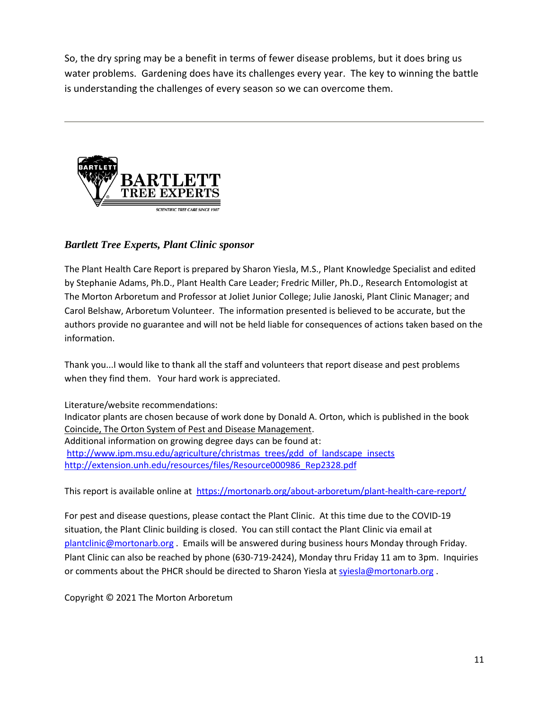So, the dry spring may be a benefit in terms of fewer disease problems, but it does bring us water problems. Gardening does have its challenges every year. The key to winning the battle is understanding the challenges of every season so we can overcome them.



## *Bartlett Tree Experts, Plant Clinic sponsor*

The Plant Health Care Report is prepared by Sharon Yiesla, M.S., Plant Knowledge Specialist and edited by Stephanie Adams, Ph.D., Plant Health Care Leader; Fredric Miller, Ph.D., Research Entomologist at The Morton Arboretum and Professor at Joliet Junior College; Julie Janoski, Plant Clinic Manager; and Carol Belshaw, Arboretum Volunteer. The information presented is believed to be accurate, but the authors provide no guarantee and will not be held liable for consequences of actions taken based on the information.

Thank you...I would like to thank all the staff and volunteers that report disease and pest problems when they find them. Your hard work is appreciated.

Literature/website recommendations: Indicator plants are chosen because of work done by Donald A. Orton, which is published in the book Coincide, The Orton System of Pest and Disease Management. Additional information on growing degree days can be found at: [http://www.ipm.msu.edu/agriculture/christmas\\_trees/gdd\\_of\\_landscape\\_insects](http://www.ipm.msu.edu/agriculture/christmas_trees/gdd_of_landscape_insects) [http://extension.unh.edu/resources/files/Resource000986\\_Rep2328.pdf](http://extension.unh.edu/resources/files/Resource000986_Rep2328.pdf)

This report is available online at <https://mortonarb.org/about-arboretum/plant-health-care-report/>

For pest and disease questions, please contact the Plant Clinic. At this time due to the COVID-19 situation, the Plant Clinic building is closed. You can still contact the Plant Clinic via email at [plantclinic@mortonarb.org](mailto:plantclinic@mortonarb.org) . Emails will be answered during business hours Monday through Friday. Plant Clinic can also be reached by phone (630-719-2424), Monday thru Friday 11 am to 3pm. Inquiries or comments about the PHCR should be directed to Sharon Yiesla at [syiesla@mortonarb.org](mailto:syiesla@mortonarb.org) .

Copyright © 2021 The Morton Arboretum